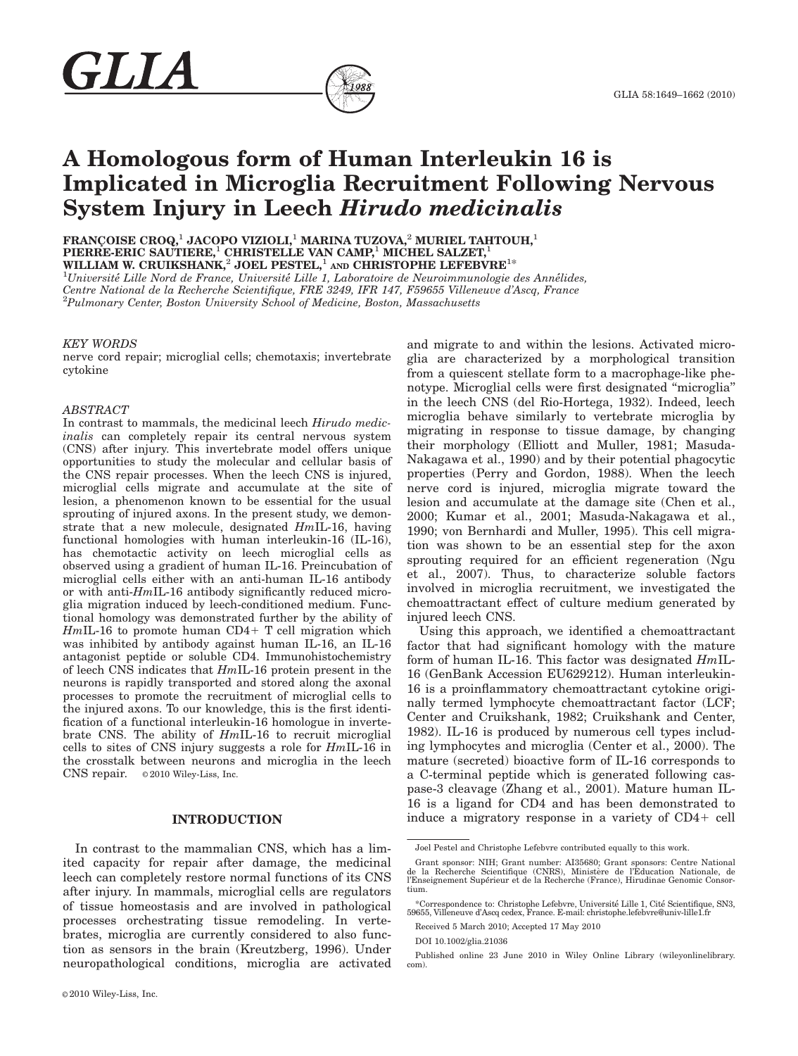

FRANÇOISE CROQ,<sup>1</sup> JACOPO VIZIOLI,<sup>1</sup> MARINA TUZOVA,<sup>2</sup> MURIEL TAHTOUH,<sup>1</sup> PIERRE-ERIC SAUTIERE, $^1$  CHRISTELLE VAN CAMP, $^1$  MICHEL SALZET, $^1$ WILLIAM W. CRUIKSHANK,<sup>2</sup> JOEL PESTEL,<sup>1</sup> AND CHRISTOPHE LEFEBVRE<sup>1\*</sup><br><sup>1</sup>Université Lille Nerd de France, Université Lille 1, Laboratoire de Neuroimmunelogie et

 ${}^{1}$ Université Lille Nord de France, Université Lille 1, Laboratoire de Neuroimmunologie des Annélides, Centre National de la Recherche Scientifique, FRE 3249, IFR 147, F59655 Villeneuve d'Ascq, France <sup>2</sup>Pulmonary Center, Boston University School of Medicine, Boston, Massachusetts

#### KEY WORDS

GLIA

nerve cord repair; microglial cells; chemotaxis; invertebrate cytokine

### ABSTRACT

In contrast to mammals, the medicinal leech Hirudo medicinalis can completely repair its central nervous system (CNS) after injury. This invertebrate model offers unique opportunities to study the molecular and cellular basis of the CNS repair processes. When the leech CNS is injured, microglial cells migrate and accumulate at the site of lesion, a phenomenon known to be essential for the usual sprouting of injured axons. In the present study, we demonstrate that a new molecule, designated HmIL-16, having functional homologies with human interleukin-16 (IL-16), has chemotactic activity on leech microglial cells as observed using a gradient of human IL-16. Preincubation of microglial cells either with an anti-human IL-16 antibody or with anti-HmIL-16 antibody significantly reduced microglia migration induced by leech-conditioned medium. Functional homology was demonstrated further by the ability of  $HmIL-16$  to promote human  $CD4+T$  cell migration which was inhibited by antibody against human IL-16, an IL-16 antagonist peptide or soluble CD4. Immunohistochemistry of leech CNS indicates that HmIL-16 protein present in the neurons is rapidly transported and stored along the axonal processes to promote the recruitment of microglial cells to the injured axons. To our knowledge, this is the first identification of a functional interleukin-16 homologue in invertebrate CNS. The ability of HmIL-16 to recruit microglial cells to sites of CNS injury suggests a role for HmIL-16 in the crosstalk between neurons and microglia in the leech  $CNS$  repair.  $\circ$  2010 Wiley-Liss, Inc.

## INTRODUCTION

In contrast to the mammalian CNS, which has a limited capacity for repair after damage, the medicinal leech can completely restore normal functions of its CNS after injury. In mammals, microglial cells are regulators of tissue homeostasis and are involved in pathological processes orchestrating tissue remodeling. In vertebrates, microglia are currently considered to also function as sensors in the brain (Kreutzberg, 1996). Under neuropathological conditions, microglia are activated

and migrate to and within the lesions. Activated microglia are characterized by a morphological transition from a quiescent stellate form to a macrophage-like phenotype. Microglial cells were first designated ''microglia'' in the leech CNS (del Rio-Hortega, 1932). Indeed, leech microglia behave similarly to vertebrate microglia by migrating in response to tissue damage, by changing their morphology (Elliott and Muller, 1981; Masuda-Nakagawa et al., 1990) and by their potential phagocytic properties (Perry and Gordon, 1988). When the leech nerve cord is injured, microglia migrate toward the lesion and accumulate at the damage site (Chen et al., 2000; Kumar et al., 2001; Masuda-Nakagawa et al., 1990; von Bernhardi and Muller, 1995). This cell migration was shown to be an essential step for the axon sprouting required for an efficient regeneration (Ngu et al., 2007). Thus, to characterize soluble factors involved in microglia recruitment, we investigated the chemoattractant effect of culture medium generated by injured leech CNS.

Using this approach, we identified a chemoattractant factor that had significant homology with the mature form of human IL-16. This factor was designated  $Hm$ IL-16 (GenBank Accession EU629212). Human interleukin-16 is a proinflammatory chemoattractant cytokine originally termed lymphocyte chemoattractant factor (LCF; Center and Cruikshank, 1982; Cruikshank and Center, 1982). IL-16 is produced by numerous cell types including lymphocytes and microglia (Center et al., 2000). The mature (secreted) bioactive form of IL-16 corresponds to a C-terminal peptide which is generated following caspase-3 cleavage (Zhang et al., 2001). Mature human IL-16 is a ligand for CD4 and has been demonstrated to induce a migratory response in a variety of  $CD4+$  cell

Joel Pestel and Christophe Lefebvre contributed equally to this work.

Grant sponsor: NIH; Grant number: AI35680; Grant sponsors: Centre National<br>de la Recherche Scientifique (CNRS), Ministère de l'Education Nationale, de l'Enseignement Superieur et de la Recherche (France), Hirudinae Genomic Consortium.

<sup>\*</sup>Correspondence to: Christophe Lefebvre, Universite Lille 1, Cite Scientifique, SN3, 59655, Villeneuve d'Ascq cedex, France. E-mail: christophe.lefebvre@univ-lille1.fr

Received 5 March 2010; Accepted 17 May 2010

DOI 10.1002/glia.21036

Published online 23 June 2010 in Wiley Online Library (wileyonlinelibrary. com).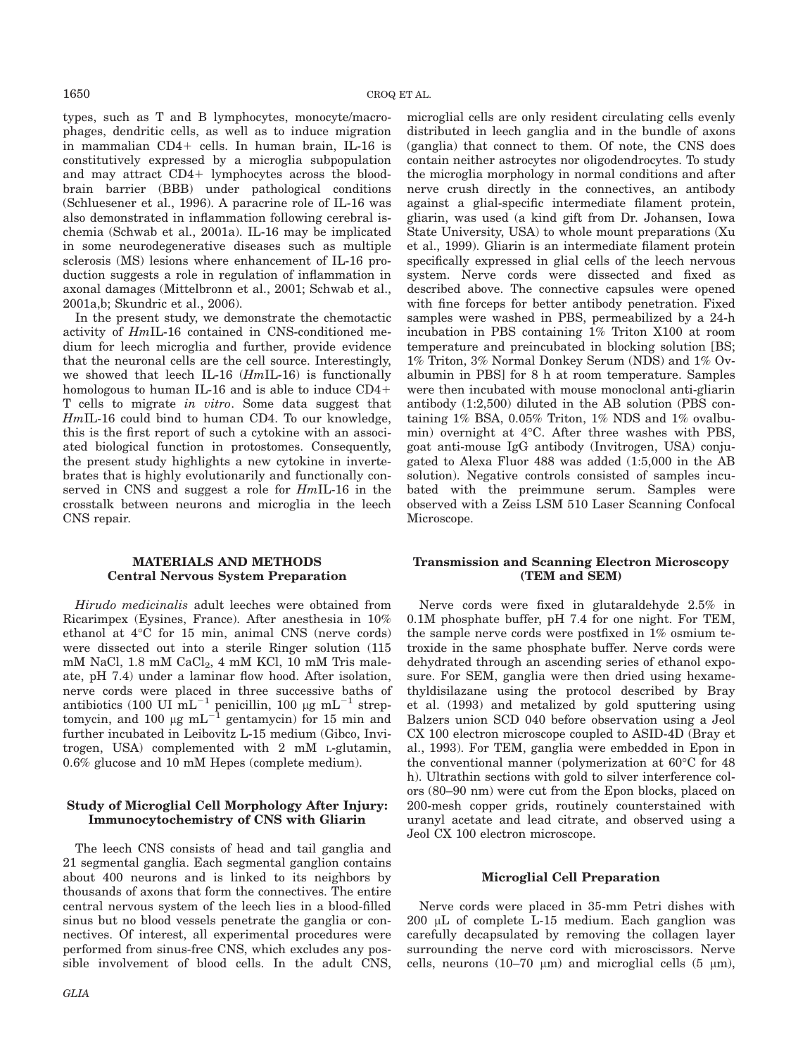types, such as T and B lymphocytes, monocyte/macrophages, dendritic cells, as well as to induce migration in mammalian  $CD4+$  cells. In human brain, IL-16 is constitutively expressed by a microglia subpopulation and may attract  $CD4+$  lymphocytes across the bloodbrain barrier (BBB) under pathological conditions (Schluesener et al., 1996). A paracrine role of IL-16 was also demonstrated in inflammation following cerebral ischemia (Schwab et al., 2001a). IL-16 may be implicated in some neurodegenerative diseases such as multiple sclerosis (MS) lesions where enhancement of IL-16 production suggests a role in regulation of inflammation in axonal damages (Mittelbronn et al., 2001; Schwab et al., 2001a,b; Skundric et al., 2006).

In the present study, we demonstrate the chemotactic activity of HmIL-16 contained in CNS-conditioned medium for leech microglia and further, provide evidence that the neuronal cells are the cell source. Interestingly, we showed that leech IL-16  $(HmIL-16)$  is functionally homologous to human IL-16 and is able to induce  $CD4+$ T cells to migrate in vitro. Some data suggest that HmIL-16 could bind to human CD4. To our knowledge, this is the first report of such a cytokine with an associated biological function in protostomes. Consequently, the present study highlights a new cytokine in invertebrates that is highly evolutionarily and functionally conserved in CNS and suggest a role for HmIL-16 in the crosstalk between neurons and microglia in the leech CNS repair.

# MATERIALS AND METHODS Central Nervous System Preparation

Hirudo medicinalis adult leeches were obtained from Ricarimpex (Eysines, France). After anesthesia in 10% ethanol at  $4^{\circ}$ C for 15 min, animal CNS (nerve cords) were dissected out into a sterile Ringer solution (115 mM NaCl, 1.8 mM CaCl<sub>2</sub>, 4 mM KCl, 10 mM Tris maleate, pH 7.4) under a laminar flow hood. After isolation, nerve cords were placed in three successive baths of antibiotics (100 UI  $mL^{-1}$  penicillin, 100 µg m $L^{-1}$  streptomycin, and 100  $\mu$ g mL<sup>-1</sup> gentamycin) for 15 min and further incubated in Leibovitz L-15 medium (Gibco, Invitrogen, USA) complemented with 2 mM L-glutamin, 0.6% glucose and 10 mM Hepes (complete medium).

# Study of Microglial Cell Morphology After Injury: Immunocytochemistry of CNS with Gliarin

The leech CNS consists of head and tail ganglia and 21 segmental ganglia. Each segmental ganglion contains about 400 neurons and is linked to its neighbors by thousands of axons that form the connectives. The entire central nervous system of the leech lies in a blood-filled sinus but no blood vessels penetrate the ganglia or connectives. Of interest, all experimental procedures were performed from sinus-free CNS, which excludes any possible involvement of blood cells. In the adult CNS,

distributed in leech ganglia and in the bundle of axons (ganglia) that connect to them. Of note, the CNS does contain neither astrocytes nor oligodendrocytes. To study the microglia morphology in normal conditions and after nerve crush directly in the connectives, an antibody against a glial-specific intermediate filament protein, gliarin, was used (a kind gift from Dr. Johansen, Iowa State University, USA) to whole mount preparations (Xu et al., 1999). Gliarin is an intermediate filament protein specifically expressed in glial cells of the leech nervous system. Nerve cords were dissected and fixed as described above. The connective capsules were opened with fine forceps for better antibody penetration. Fixed samples were washed in PBS, permeabilized by a 24-h incubation in PBS containing 1% Triton X100 at room temperature and preincubated in blocking solution [BS; 1% Triton, 3% Normal Donkey Serum (NDS) and 1% Ovalbumin in PBS] for 8 h at room temperature. Samples were then incubated with mouse monoclonal anti-gliarin antibody (1:2,500) diluted in the AB solution (PBS containing 1% BSA, 0.05% Triton, 1% NDS and 1% ovalbumin) overnight at  $4^{\circ}$ C. After three washes with PBS, goat anti-mouse IgG antibody (Invitrogen, USA) conjugated to Alexa Fluor 488 was added (1:5,000 in the AB solution). Negative controls consisted of samples incubated with the preimmune serum. Samples were observed with a Zeiss LSM 510 Laser Scanning Confocal Microscope.

microglial cells are only resident circulating cells evenly

# Transmission and Scanning Electron Microscopy (TEM and SEM)

Nerve cords were fixed in glutaraldehyde 2.5% in 0.1M phosphate buffer, pH 7.4 for one night. For TEM, the sample nerve cords were postfixed in 1% osmium tetroxide in the same phosphate buffer. Nerve cords were dehydrated through an ascending series of ethanol exposure. For SEM, ganglia were then dried using hexamethyldisilazane using the protocol described by Bray et al. (1993) and metalized by gold sputtering using Balzers union SCD 040 before observation using a Jeol CX 100 electron microscope coupled to ASID-4D (Bray et al., 1993). For TEM, ganglia were embedded in Epon in the conventional manner (polymerization at  $60^{\circ}$ C for 48 h). Ultrathin sections with gold to silver interference colors (80–90 nm) were cut from the Epon blocks, placed on 200-mesh copper grids, routinely counterstained with uranyl acetate and lead citrate, and observed using a Jeol CX 100 electron microscope.

# Microglial Cell Preparation

Nerve cords were placed in 35-mm Petri dishes with  $200 \mu L$  of complete L-15 medium. Each ganglion was carefully decapsulated by removing the collagen layer surrounding the nerve cord with microscissors. Nerve cells, neurons (10–70  $\mu$ m) and microglial cells (5  $\mu$ m),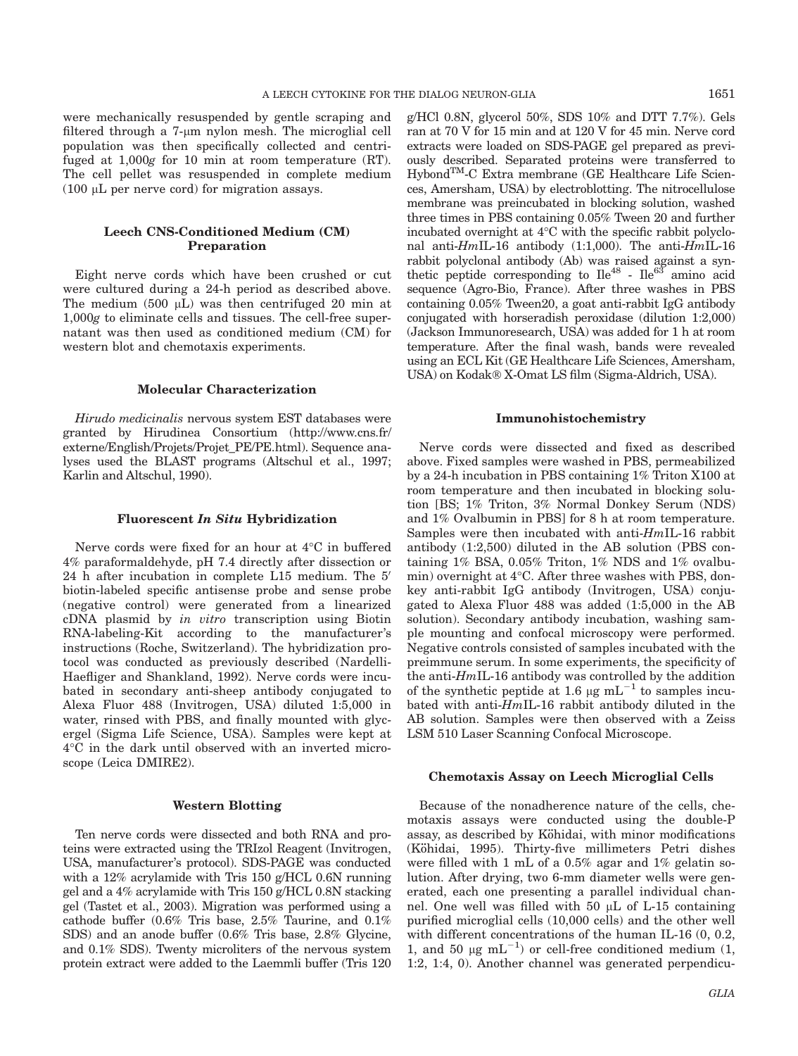were mechanically resuspended by gentle scraping and filtered through a 7-µm nylon mesh. The microglial cell population was then specifically collected and centrifuged at 1,000g for 10 min at room temperature (RT). The cell pellet was resuspended in complete medium (100  $\mu$ L per nerve cord) for migration assays.

# Leech CNS-Conditioned Medium (CM) Preparation

Eight nerve cords which have been crushed or cut were cultured during a 24-h period as described above. The medium  $(500 \mu L)$  was then centrifuged 20 min at 1,000g to eliminate cells and tissues. The cell-free supernatant was then used as conditioned medium (CM) for western blot and chemotaxis experiments.

#### Molecular Characterization

Hirudo medicinalis nervous system EST databases were granted by Hirudinea Consortium (http://www.cns.fr/ externe/English/Projets/Projet\_PE/PE.html). Sequence analyses used the BLAST programs (Altschul et al., 1997; Karlin and Altschul, 1990).

#### Fluorescent In Situ Hybridization

Nerve cords were fixed for an hour at  $4^{\circ}$ C in buffered 4% paraformaldehyde, pH 7.4 directly after dissection or 24 h after incubation in complete L15 medium. The 5' biotin-labeled specific antisense probe and sense probe (negative control) were generated from a linearized cDNA plasmid by in vitro transcription using Biotin RNA-labeling-Kit according to the manufacturer's instructions (Roche, Switzerland). The hybridization protocol was conducted as previously described (Nardelli-Haefliger and Shankland, 1992). Nerve cords were incubated in secondary anti-sheep antibody conjugated to Alexa Fluor 488 (Invitrogen, USA) diluted 1:5,000 in water, rinsed with PBS, and finally mounted with glycergel (Sigma Life Science, USA). Samples were kept at 4C in the dark until observed with an inverted microscope (Leica DMIRE2).

#### Western Blotting

Ten nerve cords were dissected and both RNA and proteins were extracted using the TRIzol Reagent (Invitrogen, USA, manufacturer's protocol). SDS-PAGE was conducted with a 12% acrylamide with Tris 150 g/HCL 0.6N running gel and a 4% acrylamide with Tris 150 g/HCL 0.8N stacking gel (Tastet et al., 2003). Migration was performed using a cathode buffer (0.6% Tris base, 2.5% Taurine, and 0.1% SDS) and an anode buffer (0.6% Tris base, 2.8% Glycine, and 0.1% SDS). Twenty microliters of the nervous system protein extract were added to the Laemmli buffer (Tris 120

g/HCl 0.8N, glycerol 50%, SDS 10% and DTT 7.7%). Gels ran at 70 V for 15 min and at 120 V for 45 min. Nerve cord extracts were loaded on SDS-PAGE gel prepared as previously described. Separated proteins were transferred to HybondTM-C Extra membrane (GE Healthcare Life Sciences, Amersham, USA) by electroblotting. The nitrocellulose membrane was preincubated in blocking solution, washed three times in PBS containing 0.05% Tween 20 and further incubated overnight at  $4^{\circ}$ C with the specific rabbit polyclonal anti-HmIL-16 antibody (1:1,000). The anti-HmIL-16 rabbit polyclonal antibody (Ab) was raised against a synthetic peptide corresponding to  $I_4^{48}$  -  $I_4^{63}$  amino acid sequence (Agro-Bio, France). After three washes in PBS containing 0.05% Tween20, a goat anti-rabbit IgG antibody conjugated with horseradish peroxidase (dilution 1:2,000) (Jackson Immunoresearch, USA) was added for 1 h at room temperature. After the final wash, bands were revealed using an ECL Kit (GE Healthcare Life Sciences, Amersham, USA) on Kodak® X-Omat LS film (Sigma-Aldrich, USA).

#### Immunohistochemistry

Nerve cords were dissected and fixed as described above. Fixed samples were washed in PBS, permeabilized by a 24-h incubation in PBS containing 1% Triton X100 at room temperature and then incubated in blocking solution [BS; 1% Triton, 3% Normal Donkey Serum (NDS) and 1% Ovalbumin in PBS] for 8 h at room temperature. Samples were then incubated with anti- $HmIL-16$  rabbit antibody (1:2,500) diluted in the AB solution (PBS containing 1% BSA, 0.05% Triton, 1% NDS and 1% ovalbumin) overnight at  $4^{\circ}$ C. After three washes with PBS, donkey anti-rabbit IgG antibody (Invitrogen, USA) conjugated to Alexa Fluor 488 was added (1:5,000 in the AB solution). Secondary antibody incubation, washing sample mounting and confocal microscopy were performed. Negative controls consisted of samples incubated with the preimmune serum. In some experiments, the specificity of the anti-HmIL-16 antibody was controlled by the addition of the synthetic peptide at 1.6  $\mu$ g mL<sup>-1</sup> to samples incubated with anti-HmIL-16 rabbit antibody diluted in the AB solution. Samples were then observed with a Zeiss LSM 510 Laser Scanning Confocal Microscope.

#### Chemotaxis Assay on Leech Microglial Cells

Because of the nonadherence nature of the cells, chemotaxis assays were conducted using the double-P assay, as described by Köhidai, with minor modifications (K€ohidai, 1995). Thirty-five millimeters Petri dishes were filled with 1 mL of a 0.5% agar and 1% gelatin solution. After drying, two 6-mm diameter wells were generated, each one presenting a parallel individual channel. One well was filled with 50  $\mu$ L of L-15 containing purified microglial cells (10,000 cells) and the other well with different concentrations of the human IL-16 (0, 0.2, 1, and 50  $\mu$ g mL<sup>-1</sup>) or cell-free conditioned medium (1, 1:2, 1:4, 0). Another channel was generated perpendicu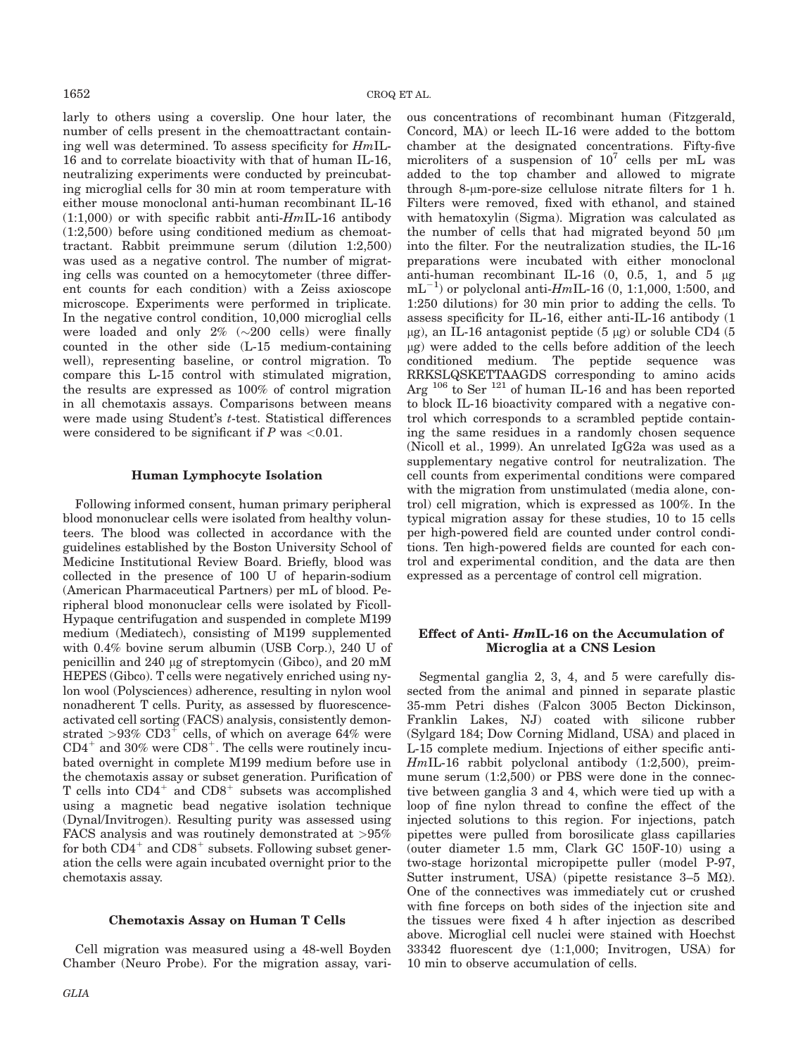larly to others using a coverslip. One hour later, the number of cells present in the chemoattractant containing well was determined. To assess specificity for HmIL-16 and to correlate bioactivity with that of human IL-16, neutralizing experiments were conducted by preincubating microglial cells for 30 min at room temperature with either mouse monoclonal anti-human recombinant IL-16  $(1:1,000)$  or with specific rabbit anti- $HmIL-16$  antibody (1:2,500) before using conditioned medium as chemoattractant. Rabbit preimmune serum (dilution 1:2,500) was used as a negative control. The number of migrating cells was counted on a hemocytometer (three different counts for each condition) with a Zeiss axioscope microscope. Experiments were performed in triplicate. In the negative control condition, 10,000 microglial cells were loaded and only  $2\%$  ( $\sim$ 200 cells) were finally counted in the other side (L-15 medium-containing well), representing baseline, or control migration. To compare this L-15 control with stimulated migration, the results are expressed as 100% of control migration in all chemotaxis assays. Comparisons between means were made using Student's *t*-test. Statistical differences were considered to be significant if  $P$  was <0.01.

### Human Lymphocyte Isolation

Following informed consent, human primary peripheral blood mononuclear cells were isolated from healthy volunteers. The blood was collected in accordance with the guidelines established by the Boston University School of Medicine Institutional Review Board. Briefly, blood was collected in the presence of 100 U of heparin-sodium (American Pharmaceutical Partners) per mL of blood. Peripheral blood mononuclear cells were isolated by Ficoll-Hypaque centrifugation and suspended in complete M199 medium (Mediatech), consisting of M199 supplemented with 0.4% bovine serum albumin (USB Corp.), 240 U of penicillin and 240 lg of streptomycin (Gibco), and 20 mM HEPES (Gibco). T cells were negatively enriched using nylon wool (Polysciences) adherence, resulting in nylon wool nonadherent T cells. Purity, as assessed by fluorescenceactivated cell sorting (FACS) analysis, consistently demonstrated  $>93\%$  CD3<sup>+</sup> cells, of which on average 64% were  $CD4^+$  and 30% were  $CD8^+$ . The cells were routinely incubated overnight in complete M199 medium before use in the chemotaxis assay or subset generation. Purification of T cells into  $CD4^+$  and  $CD8^+$  subsets was accomplished using a magnetic bead negative isolation technique (Dynal/Invitrogen). Resulting purity was assessed using FACS analysis and was routinely demonstrated at >95% for both  $CD4^+$  and  $CD8^+$  subsets. Following subset generation the cells were again incubated overnight prior to the chemotaxis assay.

## Chemotaxis Assay on Human T Cells

Cell migration was measured using a 48-well Boyden Chamber (Neuro Probe). For the migration assay, various concentrations of recombinant human (Fitzgerald, Concord, MA) or leech IL-16 were added to the bottom chamber at the designated concentrations. Fifty-five microliters of a suspension of  $10^7$  cells per mL was added to the top chamber and allowed to migrate through 8-µm-pore-size cellulose nitrate filters for 1 h. Filters were removed, fixed with ethanol, and stained with hematoxylin (Sigma). Migration was calculated as the number of cells that had migrated beyond  $50 \mu m$ into the filter. For the neutralization studies, the IL-16 preparations were incubated with either monoclonal anti-human recombinant IL-16  $(0, 0.5, 1,$  and  $5 \mu$ g  $mL^{-1}$ ) or polyclonal anti-HmIL-16 (0, 1:1,000, 1:500, and 1:250 dilutions) for 30 min prior to adding the cells. To assess specificity for IL-16, either anti-IL-16 antibody (1  $\mu$ g), an IL-16 antagonist peptide (5  $\mu$ g) or soluble CD4 (5  $\mu$ g) were added to the cells before addition of the leech conditioned medium. The peptide sequence was RRKSLQSKETTAAGDS corresponding to amino acids Arg <sup>106</sup> to Ser<sup>121</sup> of human IL-16 and has been reported to block IL-16 bioactivity compared with a negative control which corresponds to a scrambled peptide containing the same residues in a randomly chosen sequence (Nicoll et al., 1999). An unrelated IgG2a was used as a supplementary negative control for neutralization. The cell counts from experimental conditions were compared with the migration from unstimulated (media alone, control) cell migration, which is expressed as 100%. In the typical migration assay for these studies, 10 to 15 cells per high-powered field are counted under control conditions. Ten high-powered fields are counted for each control and experimental condition, and the data are then expressed as a percentage of control cell migration.

## Effect of Anti- HmIL-16 on the Accumulation of Microglia at a CNS Lesion

Segmental ganglia 2, 3, 4, and 5 were carefully dissected from the animal and pinned in separate plastic 35-mm Petri dishes (Falcon 3005 Becton Dickinson, Franklin Lakes, NJ) coated with silicone rubber (Sylgard 184; Dow Corning Midland, USA) and placed in L-15 complete medium. Injections of either specific anti-HmIL-16 rabbit polyclonal antibody (1:2,500), preimmune serum (1:2,500) or PBS were done in the connective between ganglia 3 and 4, which were tied up with a loop of fine nylon thread to confine the effect of the injected solutions to this region. For injections, patch pipettes were pulled from borosilicate glass capillaries (outer diameter 1.5 mm, Clark GC 150F-10) using a two-stage horizontal micropipette puller (model P-97, Sutter instrument, USA) (pipette resistance  $3-5$  M $\Omega$ ). One of the connectives was immediately cut or crushed with fine forceps on both sides of the injection site and the tissues were fixed 4 h after injection as described above. Microglial cell nuclei were stained with Hoechst 33342 fluorescent dye (1:1,000; Invitrogen, USA) for 10 min to observe accumulation of cells.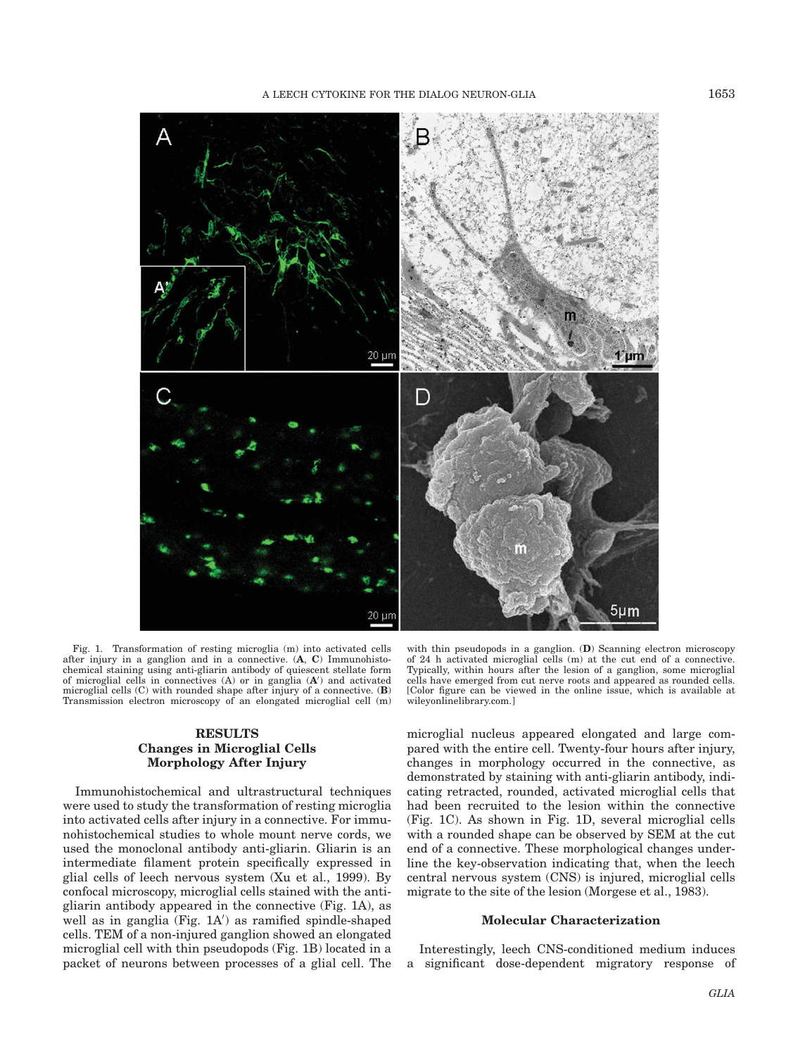

Fig. 1. Transformation of resting microglia (m) into activated cells after injury in a ganglion and in a connective. (A, C) Immunohistochemical staining using anti-gliarin antibody of quiescent stellate form<br>of microglial cells in connectives  $(A)$  or in ganglia  $(A')$  and activated microglial cells  $(C)$  with rounded shape after injury of a connective.  $(B)$ Transmission electron microscopy of an elongated microglial cell (m)

# RESULTS Changes in Microglial Cells Morphology After Injury

Immunohistochemical and ultrastructural techniques were used to study the transformation of resting microglia into activated cells after injury in a connective. For immunohistochemical studies to whole mount nerve cords, we used the monoclonal antibody anti-gliarin. Gliarin is an intermediate filament protein specifically expressed in glial cells of leech nervous system (Xu et al., 1999). By confocal microscopy, microglial cells stained with the antigliarin antibody appeared in the connective (Fig. 1A), as well as in ganglia (Fig. 1A') as ramified spindle-shaped cells. TEM of a non-injured ganglion showed an elongated microglial cell with thin pseudopods (Fig. 1B) located in a packet of neurons between processes of a glial cell. The

with thin pseudopods in a ganglion. (D) Scanning electron microscopy of 24 h activated microglial cells (m) at the cut end of a connective. Typically, within hours after the lesion of a ganglion, some microglial cells have emerged from cut nerve roots and appeared as rounded cells. [Color figure can be viewed in the online issue, which is available at wileyonlinelibrary.com.]

microglial nucleus appeared elongated and large compared with the entire cell. Twenty-four hours after injury, changes in morphology occurred in the connective, as demonstrated by staining with anti-gliarin antibody, indicating retracted, rounded, activated microglial cells that had been recruited to the lesion within the connective (Fig. 1C). As shown in Fig. 1D, several microglial cells with a rounded shape can be observed by SEM at the cut end of a connective. These morphological changes underline the key-observation indicating that, when the leech central nervous system (CNS) is injured, microglial cells migrate to the site of the lesion (Morgese et al., 1983).

### Molecular Characterization

Interestingly, leech CNS-conditioned medium induces a significant dose-dependent migratory response of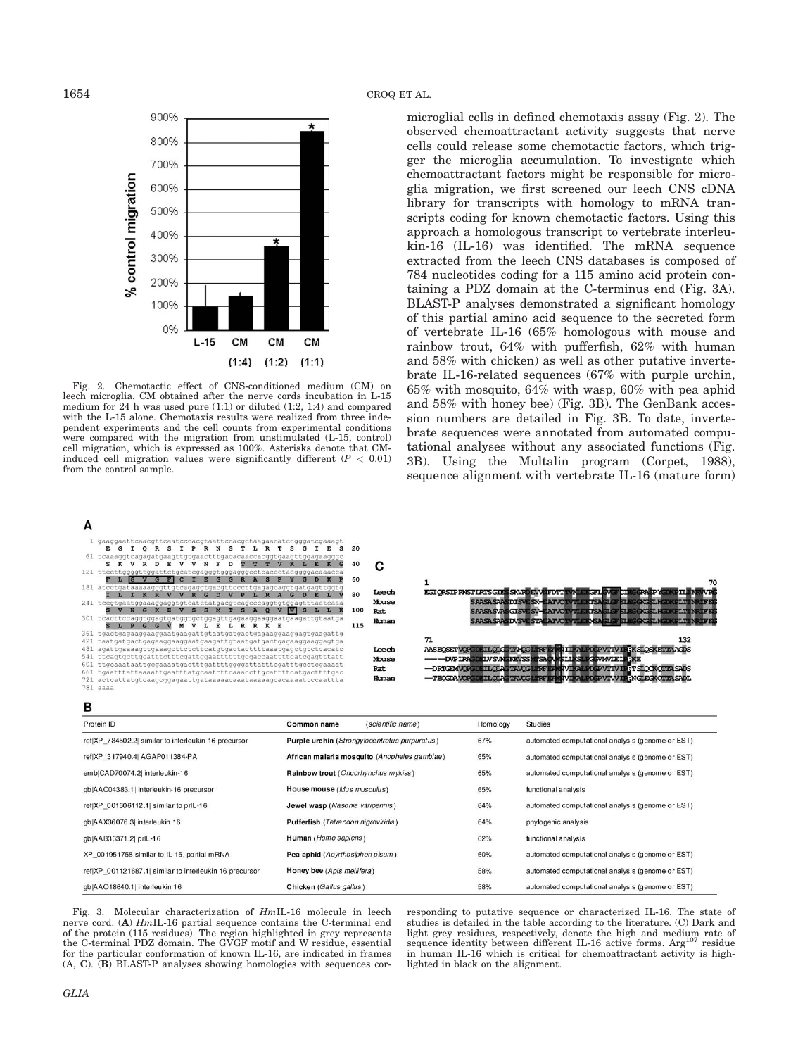

Fig. 2. Chemotactic effect of CNS-conditioned medium (CM) on leech microglia. CM obtained after the nerve cords incubation in L-15 medium for 24 h was used pure (1:1) or diluted (1:2, 1:4) and compared with the L-15 alone. Chemotaxis results were realized from three independent experiments and the cell counts from experimental conditions were compared with the migration from unstimulated (L-15, control) cell migration, which is expressed as 100%. Asterisks denote that CMinduced cell migration values were significantly different  $(P < 0.01)$ from the control sample.

microglial cells in defined chemotaxis assay (Fig. 2). The observed chemoattractant activity suggests that nerve cells could release some chemotactic factors, which trigger the microglia accumulation. To investigate which chemoattractant factors might be responsible for microglia migration, we first screened our leech CNS cDNA library for transcripts with homology to mRNA transcripts coding for known chemotactic factors. Using this approach a homologous transcript to vertebrate interleukin-16 (IL-16) was identified. The mRNA sequence extracted from the leech CNS databases is composed of 784 nucleotides coding for a 115 amino acid protein containing a PDZ domain at the C-terminus end (Fig. 3A). BLAST-P analyses demonstrated a significant homology of this partial amino acid sequence to the secreted form of vertebrate IL-16 (65% homologous with mouse and rainbow trout, 64% with pufferfish, 62% with human and 58% with chicken) as well as other putative invertebrate IL-16-related sequences (67% with purple urchin, 65% with mosquito, 64% with wasp, 60% with pea aphid and 58% with honey bee) (Fig. 3B). The GenBank accession numbers are detailed in Fig. 3B. To date, invertebrate sequences were annotated from automated computational analyses without any associated functions (Fig. 3B). Using the Multalin program (Corpet, 1988), sequence alignment with vertebrate IL-16 (mature form)

| m   |                                                                       |     |       |                                                                                 |
|-----|-----------------------------------------------------------------------|-----|-------|---------------------------------------------------------------------------------|
|     | gaaggaattcaacgttcaatcccacgtaattccacgctaagaacatccgggatcgaaagt          |     |       |                                                                                 |
|     | E G<br>ORS<br>I P R N S T<br>L.                                       | 20  |       |                                                                                 |
|     | 61 tcaaaggtcagagatgaagttgtgaactttgacacaaccacggtgaagttggagaagggc       |     |       |                                                                                 |
|     | N<br>E<br>D<br>s<br>-75                                               | 40  |       |                                                                                 |
|     | 121 ttccttqqqqttqqattctqcatcqaqqqtqqqaqqqcctcaccctacqqqqacaaacca      |     |       |                                                                                 |
|     |                                                                       | 60  |       | 70                                                                              |
|     | 181 atcctgataaaaagggttgtcagaggtgacgttcccttgagagcaggtgatgagttggtg      |     |       |                                                                                 |
|     |                                                                       | 80  | Leech | <b>EGIORSIP RNSTIRTSGIES SKVRDEV WEDTT TWE ERGEL WGF CIEG CRASP YOUK PILLIN</b> |
|     | 241 teegtgaatggaaaggaggtgteatetatgaegteageecaggtgtggagtttacteaaa      |     | Mouse | SAASASAASDISVESK-EAIVCTVILERTSAGLE-SLEGKGSLICKEIN IN FKG                        |
|     | $\mathbf{s}$<br>S<br>$\Omega$<br><b>W</b>                             | 100 | Rat.  | SAASASVASGISVE SV-EATVC TVI ENTSAGIG SI BGGGGGFGXPIII IN FKG                    |
|     |                                                                       |     | Human | <b>SAASASAASDVSVESTAEATVCTVILERASA ELERISTECGGSTAEOXPITTTYRTEK</b>              |
|     | $\mathbf{s}$<br>M<br>L R R K E<br>$T_{\rm{c}}$<br>$G$ $G$<br>v<br>L E | 115 |       |                                                                                 |
|     |                                                                       |     |       |                                                                                 |
| 421 |                                                                       |     |       | 132<br>71                                                                       |
| 481 | agattgaaaagttgaaagcttctcttcatgtgactacttttaaatgagctgtctcacatc          |     | Leech | AASEOSET VOPGDETLOLG TAVOG LIKE EA NITKALED OP VTTV TRKSLOSKETTA AGDS           |
| 541 | ttcagtgcttgcatttctttcgattggaattttttgcgaccaattttcatcgagtttatt          |     | Mouse |                                                                                 |
| 601 | ttgcaaataattgcgaaaatgactttgattttggggattatttcgatttgcctcgaaaat          |     | Rat.  | -DRTGEMVOPGDETLOLAGTAVOGLIKE EANVURALEDGEVTIVIE:T SLOCKOTTA SADS                |
| 661 | tgaatttattaaaattgaatttatgcaatcttcaaaccttgcattttcatgacttttgac          |     |       |                                                                                 |
| 721 | actcattatgtcaagcggagaattgataaaaacaaataaaaagcacaaaaattccaattta         |     | Human | -TEOGRAVEGDETLOLAGTAVOGLIKE EANVIKALPDGPVTVVIERNGLEGKOTTASADL                   |
|     | $781$ aaaa                                                            |     |       |                                                                                 |
|     |                                                                       |     |       |                                                                                 |

# в

 $\lambda$ 

| Protein ID                                              | (scientific name)<br>Common name              | Homology | Studies                                          |
|---------------------------------------------------------|-----------------------------------------------|----------|--------------------------------------------------|
| ref XP_784502.2  similar to interleukin-16 precursor    | Purple urchin (Strongylocentrotus purpuratus) | 67%      | automated computational analysis (genome or EST) |
| ref XP 317940.4  AGAP011384-PA                          | African malaria mosquito (Anopheles gambiae)  | 65%      | automated computational analysis (genome or EST) |
| emb CAD70074.2  interleukin-16                          | Rainbow trout (Oncorhynchus mykiss)           | 65%      | automated computational analysis (genome or EST) |
| gblAAC04383.1 interleukin-16 precursor                  | House mouse (Mus musculus)                    | 65%      | functional analysis                              |
| ref XP 001606112.1  similar to prIL-16                  | Jewel wasp (Nasonia vitripennis)              | 64%      | automated computational analysis (genome or EST) |
| gb AAX36076.3  interleukin 16                           | Pufferfish (Tetraodon nigroviridis)           | 64%      | phylogenic analysis                              |
| gb AAB36371.2  prlL-16                                  | Human (Homo sapiens)                          | 62%      | functional analysis                              |
| XP 001951758 similar to IL-16, partial mRNA             | Pea aphid (Acyrthosiphon pisum)               | 60%      | automated computational analysis (genome or EST) |
| ref XP 001121687.1  similar to interleukin 16 precursor | Honey bee (Apis mellifera)                    | 58%      | automated computational analysis (genome or EST) |
| gb AAO18640.1  interleukin 16                           | Chicken (Gallus gallus)                       | 58%      | automated computational analysis (genome or EST) |

Fig. 3. Molecular characterization of HmIL-16 molecule in leech nerve cord. (A) HmIL-16 partial sequence contains the C-terminal end of the protein (115 residues). The region highlighted in grey represents the C-terminal PDZ domain. The GVGF motif and W residue, essential for the particular conformation of known IL-16, are indicated in frames (A, C). (B) BLAST-P analyses showing homologies with sequences corresponding to putative sequence or characterized IL-16. The state of studies is detailed in the table according to the literature. (C) Dark and light grey residues, respectively, denote the high and medium rate of sequence identity between different IL-16 active forms. Arg<sup>107</sup> residue in human IL-16 which is critical for chemoattractant activity is highlighted in black on the alignment.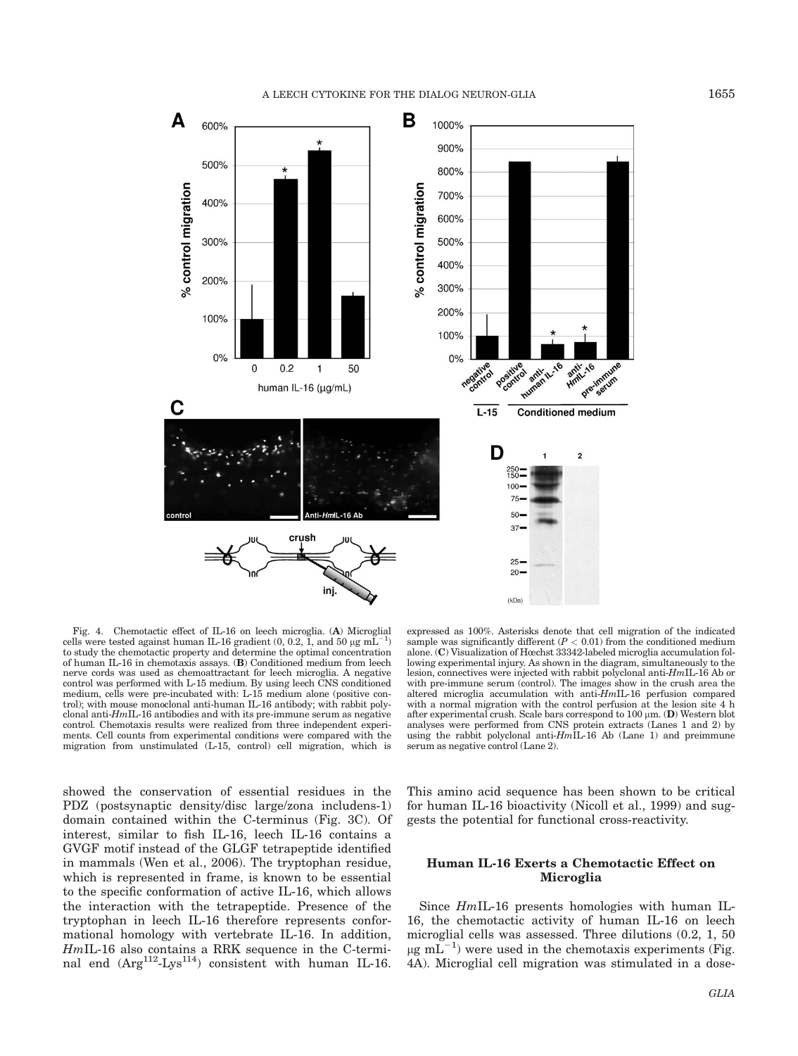

Fig. 4. Chemotactic effect of IL-16 on leech microglia. (A) Microglial cells were tested against human IL-16 gradient  $(0, 0.2, 1, 0.2)$ , and  $(50 \mu g m L^{-1})$ to study the chemotactic property and determine the optimal concentration of human IL-16 in chemotaxis assays. (B) Conditioned medium from leech nerve cords was used as chemoattractant for leech microglia. A negative control was performed with L-15 medium. By using leech CNS conditioned medium, cells were pre-incubated with: L-15 medium alone (positive control); with mouse monoclonal anti-human IL-16 antibody; with rabbit polyclonal anti- $Hm\text{IL-16}$  antibodies and with its pre-immune serum as negative control. Chemotaxis results were realized from three independent experiments. Cell counts from experimental conditions were compared with the migration from unstimulated (L-15, control) cell migration, which is

showed the conservation of essential residues in the PDZ (postsynaptic density/disc large/zona includens-1) domain contained within the C-terminus (Fig. 3C). Of interest, similar to fish IL-16, leech IL-16 contains a GVGF motif instead of the GLGF tetrapeptide identified in mammals (Wen et al., 2006). The tryptophan residue, which is represented in frame, is known to be essential to the specific conformation of active IL-16, which allows the interaction with the tetrapeptide. Presence of the tryptophan in leech IL-16 therefore represents conformational homology with vertebrate IL-16. In addition, HmIL-16 also contains a RRK sequence in the C-terminal end  $(Arg^{112}-Lys^{114})$  consistent with human IL-16.

expressed as 100%. Asterisks denote that cell migration of the indicated sample was significantly different  $(P < 0.01)$  from the conditioned medium alone. (C) Visualization of Hœchst 33342-labeled microglia accumulation following experimental injury. As shown in the diagram, simultaneously to the lesion, connectives were injected with rabbit polyclonal anti-HmIL-16 Ab or with pre-immune serum (control). The images show in the crush area the altered microglia accumulation with anti-HmIL-16 perfusion compared with a normal migration with the control perfusion at the lesion site 4 h after experimental crush. Scale bars correspond to  $100 \mu m$ . (D) Western blot analyses were performed from CNS protein extracts (Lanes 1 and 2) by using the rabbit polyclonal anti- $Hm\overline{\text{1L}}$ -16 Ab (Lane 1) and preimmune serum as negative control (Lane 2).

This amino acid sequence has been shown to be critical for human IL-16 bioactivity (Nicoll et al., 1999) and suggests the potential for functional cross-reactivity.

# Human IL-16 Exerts a Chemotactic Effect on Microglia

Since HmIL-16 presents homologies with human IL-16, the chemotactic activity of human IL-16 on leech microglial cells was assessed. Three dilutions (0.2, 1, 50  $\mu$ g m $\tilde{L}^{-1}$ ) were used in the chemotaxis experiments (Fig. 4A). Microglial cell migration was stimulated in a dose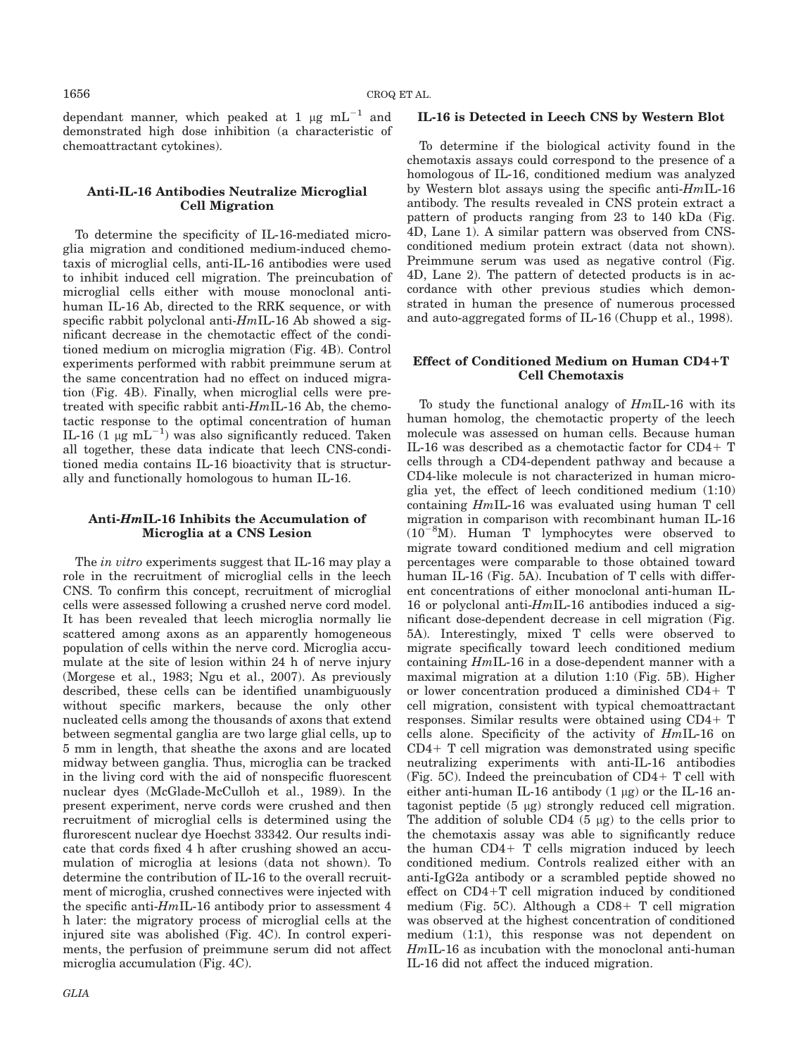dependant manner, which peaked at 1  $\mu$ g mL<sup>-1</sup> and demonstrated high dose inhibition (a characteristic of chemoattractant cytokines).

# Anti-IL-16 Antibodies Neutralize Microglial Cell Migration

To determine the specificity of IL-16-mediated microglia migration and conditioned medium-induced chemotaxis of microglial cells, anti-IL-16 antibodies were used to inhibit induced cell migration. The preincubation of microglial cells either with mouse monoclonal antihuman IL-16 Ab, directed to the RRK sequence, or with specific rabbit polyclonal anti- $HmIL-16$  Ab showed a significant decrease in the chemotactic effect of the conditioned medium on microglia migration (Fig. 4B). Control experiments performed with rabbit preimmune serum at the same concentration had no effect on induced migration (Fig. 4B). Finally, when microglial cells were pretreated with specific rabbit anti-HmIL-16 Ab, the chemotactic response to the optimal concentration of human IL-16 (1  $\mu$ g mL<sup>-1</sup>) was also significantly reduced. Taken all together, these data indicate that leech CNS-conditioned media contains IL-16 bioactivity that is structurally and functionally homologous to human IL-16.

# Anti-HmIL-16 Inhibits the Accumulation of Microglia at a CNS Lesion

The in vitro experiments suggest that IL-16 may play a role in the recruitment of microglial cells in the leech CNS. To confirm this concept, recruitment of microglial cells were assessed following a crushed nerve cord model. It has been revealed that leech microglia normally lie scattered among axons as an apparently homogeneous population of cells within the nerve cord. Microglia accumulate at the site of lesion within 24 h of nerve injury (Morgese et al., 1983; Ngu et al., 2007). As previously described, these cells can be identified unambiguously without specific markers, because the only other nucleated cells among the thousands of axons that extend between segmental ganglia are two large glial cells, up to 5 mm in length, that sheathe the axons and are located midway between ganglia. Thus, microglia can be tracked in the living cord with the aid of nonspecific fluorescent nuclear dyes (McGlade-McCulloh et al., 1989). In the present experiment, nerve cords were crushed and then recruitment of microglial cells is determined using the flurorescent nuclear dye Hoechst 33342. Our results indicate that cords fixed 4 h after crushing showed an accumulation of microglia at lesions (data not shown). To determine the contribution of IL-16 to the overall recruitment of microglia, crushed connectives were injected with the specific anti-HmIL-16 antibody prior to assessment 4 h later: the migratory process of microglial cells at the injured site was abolished (Fig. 4C). In control experiments, the perfusion of preimmune serum did not affect microglia accumulation (Fig. 4C).

## IL-16 is Detected in Leech CNS by Western Blot

To determine if the biological activity found in the chemotaxis assays could correspond to the presence of a homologous of IL-16, conditioned medium was analyzed by Western blot assays using the specific anti- $HmIL-16$ antibody. The results revealed in CNS protein extract a pattern of products ranging from 23 to 140 kDa (Fig. 4D, Lane 1). A similar pattern was observed from CNSconditioned medium protein extract (data not shown). Preimmune serum was used as negative control (Fig. 4D, Lane 2). The pattern of detected products is in accordance with other previous studies which demonstrated in human the presence of numerous processed and auto-aggregated forms of IL-16 (Chupp et al., 1998).

# Effect of Conditioned Medium on Human CD4+T Cell Chemotaxis

To study the functional analogy of HmIL-16 with its human homolog, the chemotactic property of the leech molecule was assessed on human cells. Because human IL-16 was described as a chemotactic factor for  $CD4+T$ cells through a CD4-dependent pathway and because a CD4-like molecule is not characterized in human microglia yet, the effect of leech conditioned medium (1:10) containing HmIL-16 was evaluated using human T cell migration in comparison with recombinant human IL-16  $(10^{-8}M)$ . Human T lymphocytes were observed to migrate toward conditioned medium and cell migration percentages were comparable to those obtained toward human IL-16 (Fig. 5A). Incubation of T cells with different concentrations of either monoclonal anti-human IL-16 or polyclonal anti- $HmIL-16$  antibodies induced a significant dose-dependent decrease in cell migration (Fig. 5A). Interestingly, mixed T cells were observed to migrate specifically toward leech conditioned medium containing HmIL-16 in a dose-dependent manner with a maximal migration at a dilution 1:10 (Fig. 5B). Higher or lower concentration produced a diminished CD4+ T cell migration, consistent with typical chemoattractant responses. Similar results were obtained using  $CD4+T$ cells alone. Specificity of the activity of HmIL-16 on  $CD4+$  T cell migration was demonstrated using specific neutralizing experiments with anti-IL-16 antibodies (Fig. 5C). Indeed the preincubation of  $CD4+T$  cell with either anti-human IL-16 antibody  $(1 \mu g)$  or the IL-16 antagonist peptide (5 µg) strongly reduced cell migration. The addition of soluble  $CD4$  (5  $\mu$ g) to the cells prior to the chemotaxis assay was able to significantly reduce the human  $CD4+T$  cells migration induced by leech conditioned medium. Controls realized either with an anti-IgG2a antibody or a scrambled peptide showed no effect on  $CD4+T$  cell migration induced by conditioned medium (Fig. 5C). Although a CD8+ T cell migration was observed at the highest concentration of conditioned medium (1:1), this response was not dependent on HmIL-16 as incubation with the monoclonal anti-human IL-16 did not affect the induced migration.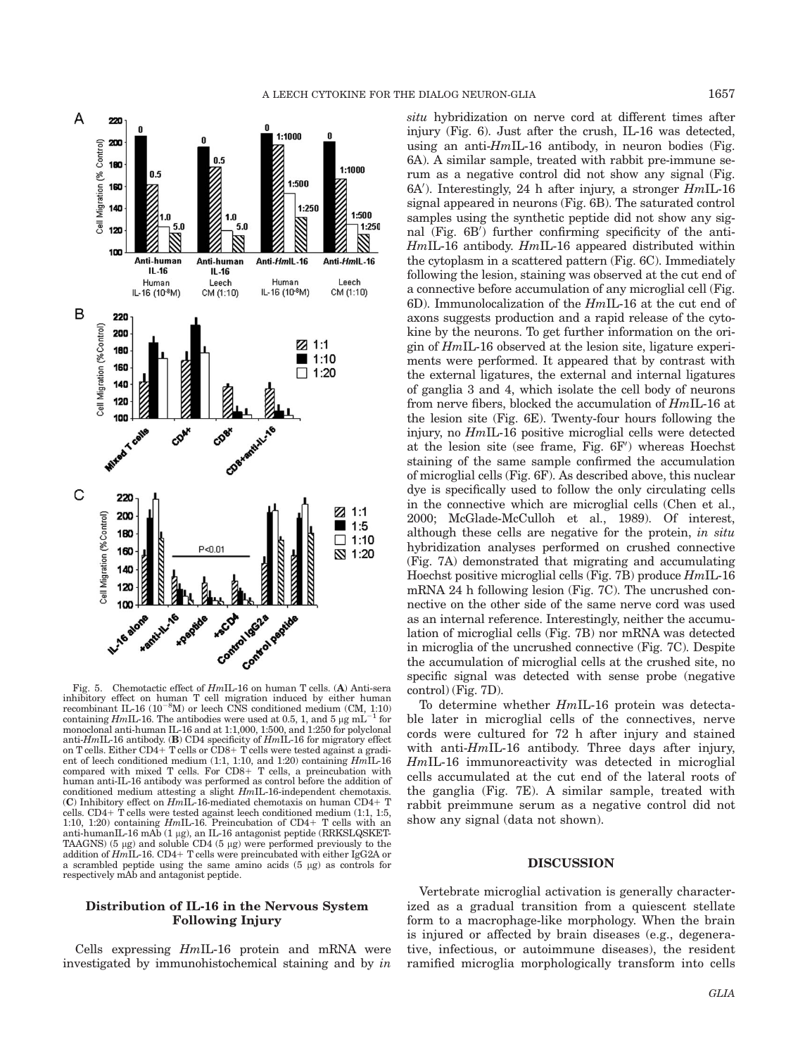



Fig. 5. Chemotactic effect of HmIL-16 on human T cells. (A) Anti-sera inhibitory effect on human T cell migration induced by either human recombinant IL-16  $(10^{-8}M)$  or leech CNS conditioned medium (CM, 1:10) containing HmIL-16. The antibodies were used at 0.5, 1, and 5  $\mu$ g mL<sup>-1</sup> for monoclonal anti-human IL-16 and at 1:1,000, 1:500, and 1:250 for polyclonal anti-HmIL-16 antibody. (B) CD4 specificity of  $Hm$ IL-16 for migratory effect on T cells. Either CD4+ T cells or CD8+ T cells were tested against a gradient of leech conditioned medium (1:1, 1:10, and 1:20) containing HmIL-16 compared with mixed T cells. For  $CDS+T$  cells, a preincubation with human anti-IL-16 antibody was performed as control before the addition of conditioned medium attesting a slight HmIL-16-independent chemotaxis. (C) Inhibitory effect on  $HmI\overline{L}$ -16-mediated chemotaxis on human CD4+ T cells. CD4+ T cells were tested against leech conditioned medium  $(1:1, 1:5, 1:0, 1:20)$  containing *HmIL*-16. Preincubation of CD4+ T cells with an anti-humanIL-16 mAb (1 µg), an IL-16 antagonist peptide (RRKSLQSKET-TAAGNS) (5  $\mu$ g) and soluble CD4 (5  $\mu$ g) were performed previously to the addition of  $Hm\text{IL-16}$ . CD4+ T cells were preincubated with either IgG2A or a scrambled peptide using the same amino acids  $(5 \mu g)$  as controls for respectively mAb and antagonist peptide.

## Distribution of IL-16 in the Nervous System Following Injury

Cells expressing  $HmIL-16$  protein and mRNA were investigated by immunohistochemical staining and by in situ hybridization on nerve cord at different times after injury (Fig. 6). Just after the crush, IL-16 was detected, using an anti- $HmIL-16$  antibody, in neuron bodies (Fig. 6A). A similar sample, treated with rabbit pre-immune serum as a negative control did not show any signal (Fig.  $6A'$ ). Interestingly, 24 h after injury, a stronger  $HmIL-16$ signal appeared in neurons (Fig. 6B). The saturated control samples using the synthetic peptide did not show any signal (Fig. 6B') further confirming specificity of the anti- $HmIL-16$  antibody.  $HmIL-16$  appeared distributed within the cytoplasm in a scattered pattern (Fig. 6C). Immediately following the lesion, staining was observed at the cut end of a connective before accumulation of any microglial cell (Fig. 6D). Immunolocalization of the HmIL-16 at the cut end of axons suggests production and a rapid release of the cytokine by the neurons. To get further information on the origin of HmIL-16 observed at the lesion site, ligature experiments were performed. It appeared that by contrast with the external ligatures, the external and internal ligatures of ganglia 3 and 4, which isolate the cell body of neurons from nerve fibers, blocked the accumulation of HmIL-16 at the lesion site (Fig. 6E). Twenty-four hours following the injury, no HmIL-16 positive microglial cells were detected at the lesion site (see frame, Fig.  $6F'$ ) whereas Hoechst staining of the same sample confirmed the accumulation of microglial cells (Fig. 6F). As described above, this nuclear dye is specifically used to follow the only circulating cells in the connective which are microglial cells (Chen et al., 2000; McGlade-McCulloh et al., 1989). Of interest, although these cells are negative for the protein, in situ hybridization analyses performed on crushed connective (Fig. 7A) demonstrated that migrating and accumulating Hoechst positive microglial cells (Fig. 7B) produce HmIL-16 mRNA 24 h following lesion (Fig. 7C). The uncrushed connective on the other side of the same nerve cord was used as an internal reference. Interestingly, neither the accumulation of microglial cells (Fig. 7B) nor mRNA was detected in microglia of the uncrushed connective (Fig. 7C). Despite the accumulation of microglial cells at the crushed site, no specific signal was detected with sense probe (negative control) (Fig. 7D).

To determine whether HmIL-16 protein was detectable later in microglial cells of the connectives, nerve cords were cultured for 72 h after injury and stained with anti-HmIL-16 antibody. Three days after injury, HmIL-16 immunoreactivity was detected in microglial cells accumulated at the cut end of the lateral roots of the ganglia (Fig. 7E). A similar sample, treated with rabbit preimmune serum as a negative control did not show any signal (data not shown).

### DISCUSSION

Vertebrate microglial activation is generally characterized as a gradual transition from a quiescent stellate form to a macrophage-like morphology. When the brain is injured or affected by brain diseases (e.g., degenerative, infectious, or autoimmune diseases), the resident ramified microglia morphologically transform into cells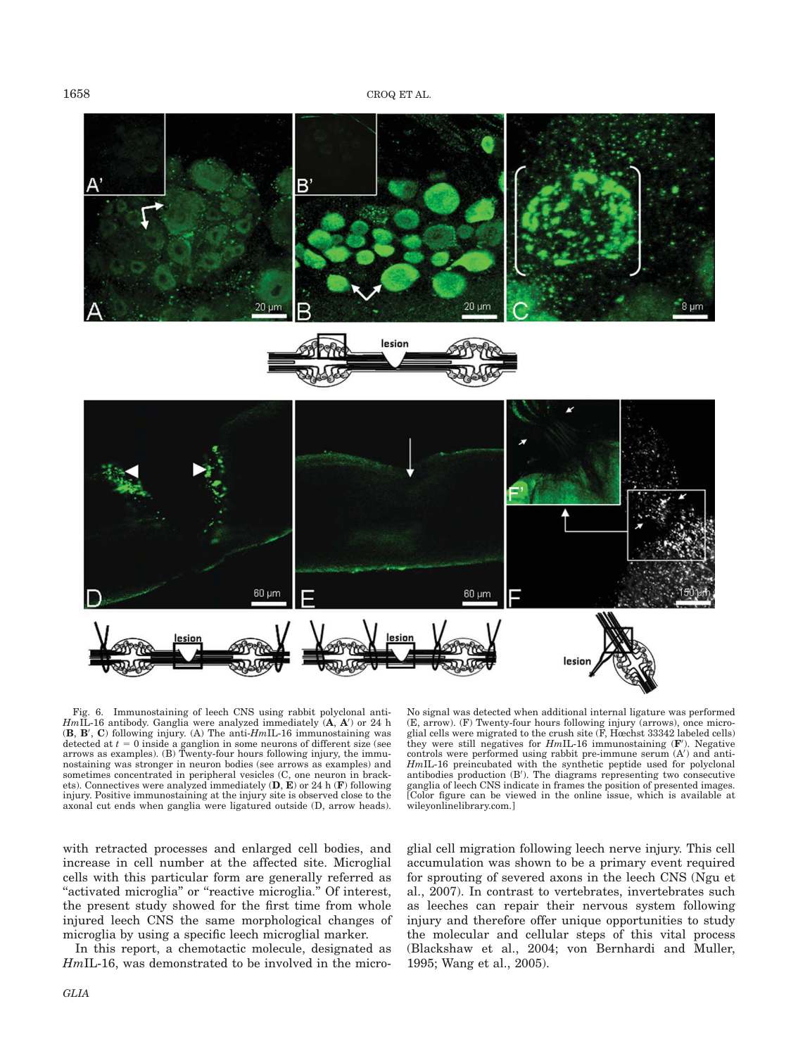

Fig. 6. Immunostaining of leech CNS using rabbit polyclonal anti- $HmIL$ -16 antibody. Ganglia were analyzed immediately  $(A, A')$  or 24 h  $(B, B', C)$  following injury. (A) The anti- $HmIL$ -16 immunostaining was detected at  $t = 0$  inside a ganglion in some neurons of different size (see arrows as examples). (B) Twenty-four hours following injury, the immunostaining was stronger in neuron bodies (see arrows as examples) and sometimes concentrated in peripheral vesicles (C, one neuron in brackets). Connectives were analyzed immediately  $(D, E)$  or 24 h  $(F)$  following injury. Positive immunostaining at the injury site is observed close to the axonal cut ends when ganglia were ligatured outside (D, arrow heads).

with retracted processes and enlarged cell bodies, and increase in cell number at the affected site. Microglial cells with this particular form are generally referred as "activated microglia" or "reactive microglia." Of interest, the present study showed for the first time from whole injured leech CNS the same morphological changes of microglia by using a specific leech microglial marker.

In this report, a chemotactic molecule, designated as HmIL-16, was demonstrated to be involved in the micro-

No signal was detected when additional internal ligature was performed (E, arrow). (F) Twenty-four hours following injury (arrows), once micro-glial cells were migrated to the crush site (F, Hœchst 33342 labeled cells) they were still negatives for  $HmIL-16$  immunostaining  $(F')$ . Negative controls were performed using rabbit pre-immune serum  $(A')$  and anti- $HmIL$ -16 preincubated with the synthetic peptide used for polyclonal antibodies production  $(B')$ . The diagrams representing two consecutive ganglia of leech CNS indicate in frames the position of presented images. [Color figure can be viewed in the online issue, which is available at wileyonlinelibrary.com.]

glial cell migration following leech nerve injury. This cell accumulation was shown to be a primary event required for sprouting of severed axons in the leech CNS (Ngu et al., 2007). In contrast to vertebrates, invertebrates such as leeches can repair their nervous system following injury and therefore offer unique opportunities to study the molecular and cellular steps of this vital process (Blackshaw et al., 2004; von Bernhardi and Muller, 1995; Wang et al., 2005).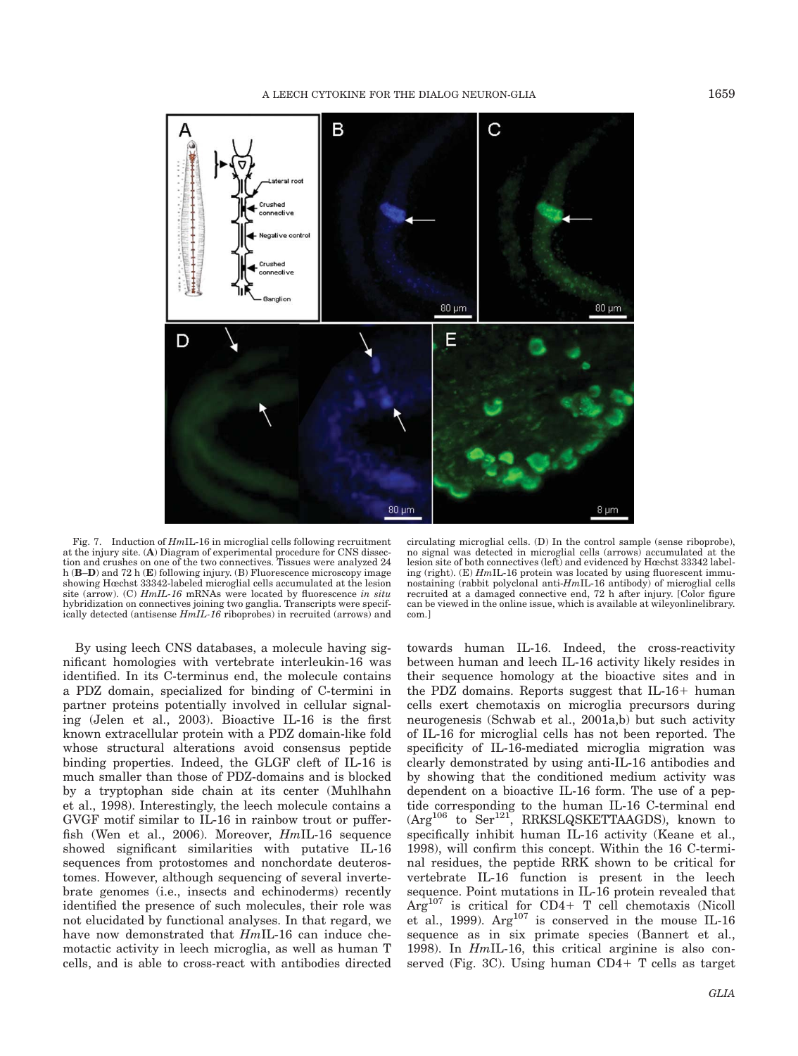

Fig. 7. Induction of HmIL-16 in microglial cells following recruitment at the injury site. (A) Diagram of experimental procedure for CNS dissection and crushes on one of the two connectives. Tissues were analyzed 24 h (B–D) and 72 h (E) following injury. (B) Fluorescence microscopy image showing Hœchst 33342-labeled microglial cells accumulated at the lesion site (arrow). (C) HmIL-16 mRNAs were located by fluorescence in situ hybridization on connectives joining two ganglia. Transcripts were specifically detected (antisense HmIL-16 riboprobes) in recruited (arrows) and

By using leech CNS databases, a molecule having significant homologies with vertebrate interleukin-16 was identified. In its C-terminus end, the molecule contains a PDZ domain, specialized for binding of C-termini in partner proteins potentially involved in cellular signaling (Jelen et al., 2003). Bioactive IL-16 is the first known extracellular protein with a PDZ domain-like fold whose structural alterations avoid consensus peptide binding properties. Indeed, the GLGF cleft of IL-16 is much smaller than those of PDZ-domains and is blocked by a tryptophan side chain at its center (Muhlhahn et al., 1998). Interestingly, the leech molecule contains a GVGF motif similar to IL-16 in rainbow trout or pufferfish (Wen et al., 2006). Moreover, HmIL-16 sequence showed significant similarities with putative IL-16 sequences from protostomes and nonchordate deuterostomes. However, although sequencing of several invertebrate genomes (i.e., insects and echinoderms) recently identified the presence of such molecules, their role was not elucidated by functional analyses. In that regard, we have now demonstrated that  $HmIL-16$  can induce chemotactic activity in leech microglia, as well as human T cells, and is able to cross-react with antibodies directed

circulating microglial cells. (D) In the control sample (sense riboprobe), no signal was detected in microglial cells (arrows) accumulated at the lesion site of both connectives (left) and evidenced by Hœchst 33342 labeling (right).  $(E)$  HmIL-16 protein was located by using fluorescent immunostaining (rabbit polyclonal anti-HmIL-16 antibody) of microglial cells recruited at a damaged connective end, 72 h after injury. [Color figure can be viewed in the online issue, which is available at wileyonlinelibrary. com.]

towards human IL-16. Indeed, the cross-reactivity between human and leech IL-16 activity likely resides in their sequence homology at the bioactive sites and in the PDZ domains. Reports suggest that  $IL-16+$  human cells exert chemotaxis on microglia precursors during neurogenesis (Schwab et al., 2001a,b) but such activity of IL-16 for microglial cells has not been reported. The specificity of IL-16-mediated microglia migration was clearly demonstrated by using anti-IL-16 antibodies and by showing that the conditioned medium activity was dependent on a bioactive IL-16 form. The use of a peptide corresponding to the human IL-16 C-terminal end  $(Arg<sup>106</sup>$  to Ser<sup>121</sup>, RRKSLQSKETTAAGDS), known to specifically inhibit human IL-16 activity (Keane et al., 1998), will confirm this concept. Within the 16 C-terminal residues, the peptide RRK shown to be critical for vertebrate IL-16 function is present in the leech sequence. Point mutations in IL-16 protein revealed that  $Arg<sup>107</sup>$  is critical for CD4+ T cell chemotaxis (Nicoll et al., 1999).  $Arg^{107}$  is conserved in the mouse IL-16 sequence as in six primate species (Bannert et al., 1998). In HmIL-16, this critical arginine is also conserved (Fig. 3C). Using human  $CD4+T$  cells as target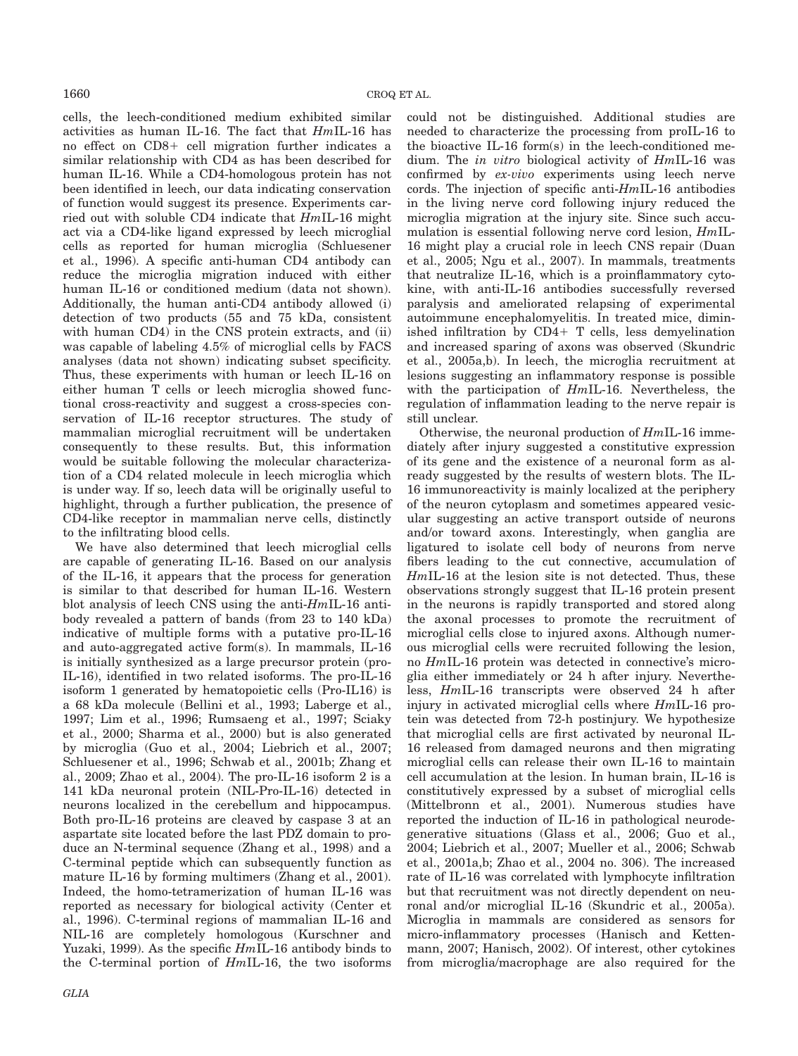cells, the leech-conditioned medium exhibited similar activities as human IL-16. The fact that HmIL-16 has no effect on  $CD8+$  cell migration further indicates a similar relationship with CD4 as has been described for human IL-16. While a CD4-homologous protein has not been identified in leech, our data indicating conservation of function would suggest its presence. Experiments carried out with soluble CD4 indicate that HmIL-16 might act via a CD4-like ligand expressed by leech microglial cells as reported for human microglia (Schluesener et al., 1996). A specific anti-human CD4 antibody can reduce the microglia migration induced with either human IL-16 or conditioned medium (data not shown). Additionally, the human anti-CD4 antibody allowed (i) detection of two products (55 and 75 kDa, consistent with human CD4) in the CNS protein extracts, and (ii) was capable of labeling 4.5% of microglial cells by FACS analyses (data not shown) indicating subset specificity. Thus, these experiments with human or leech IL-16 on either human T cells or leech microglia showed functional cross-reactivity and suggest a cross-species conservation of IL-16 receptor structures. The study of mammalian microglial recruitment will be undertaken consequently to these results. But, this information would be suitable following the molecular characterization of a CD4 related molecule in leech microglia which is under way. If so, leech data will be originally useful to highlight, through a further publication, the presence of CD4-like receptor in mammalian nerve cells, distinctly to the infiltrating blood cells.

We have also determined that leech microglial cells are capable of generating IL-16. Based on our analysis of the IL-16, it appears that the process for generation is similar to that described for human IL-16. Western blot analysis of leech CNS using the anti-HmIL-16 antibody revealed a pattern of bands (from 23 to 140 kDa) indicative of multiple forms with a putative pro-IL-16 and auto-aggregated active form(s). In mammals, IL-16 is initially synthesized as a large precursor protein (pro-IL-16), identified in two related isoforms. The pro-IL-16 isoform 1 generated by hematopoietic cells (Pro-IL16) is a 68 kDa molecule (Bellini et al., 1993; Laberge et al., 1997; Lim et al., 1996; Rumsaeng et al., 1997; Sciaky et al., 2000; Sharma et al., 2000) but is also generated by microglia (Guo et al., 2004; Liebrich et al., 2007; Schluesener et al., 1996; Schwab et al., 2001b; Zhang et al., 2009; Zhao et al., 2004). The pro-IL-16 isoform 2 is a 141 kDa neuronal protein (NIL-Pro-IL-16) detected in neurons localized in the cerebellum and hippocampus. Both pro-IL-16 proteins are cleaved by caspase 3 at an aspartate site located before the last PDZ domain to produce an N-terminal sequence (Zhang et al., 1998) and a C-terminal peptide which can subsequently function as mature IL-16 by forming multimers (Zhang et al., 2001). Indeed, the homo-tetramerization of human IL-16 was reported as necessary for biological activity (Center et al., 1996). C-terminal regions of mammalian IL-16 and NIL-16 are completely homologous (Kurschner and Yuzaki, 1999). As the specific HmIL-16 antibody binds to the C-terminal portion of HmIL-16, the two isoforms

could not be distinguished. Additional studies are needed to characterize the processing from proIL-16 to the bioactive IL-16 form(s) in the leech-conditioned medium. The in vitro biological activity of HmIL-16 was confirmed by ex-vivo experiments using leech nerve cords. The injection of specific anti-HmIL-16 antibodies in the living nerve cord following injury reduced the microglia migration at the injury site. Since such accumulation is essential following nerve cord lesion, HmIL-16 might play a crucial role in leech CNS repair (Duan et al., 2005; Ngu et al., 2007). In mammals, treatments that neutralize IL-16, which is a proinflammatory cytokine, with anti-IL-16 antibodies successfully reversed paralysis and ameliorated relapsing of experimental autoimmune encephalomyelitis. In treated mice, diminished infiltration by  $CD4+T$  cells, less demyelination and increased sparing of axons was observed (Skundric et al., 2005a,b). In leech, the microglia recruitment at lesions suggesting an inflammatory response is possible with the participation of  $HmIL-16$ . Nevertheless, the regulation of inflammation leading to the nerve repair is still unclear.

Otherwise, the neuronal production of  $HmIL-16$  immediately after injury suggested a constitutive expression of its gene and the existence of a neuronal form as already suggested by the results of western blots. The IL-16 immunoreactivity is mainly localized at the periphery of the neuron cytoplasm and sometimes appeared vesicular suggesting an active transport outside of neurons and/or toward axons. Interestingly, when ganglia are ligatured to isolate cell body of neurons from nerve fibers leading to the cut connective, accumulation of HmIL-16 at the lesion site is not detected. Thus, these observations strongly suggest that IL-16 protein present in the neurons is rapidly transported and stored along the axonal processes to promote the recruitment of microglial cells close to injured axons. Although numerous microglial cells were recruited following the lesion, no HmIL-16 protein was detected in connective's microglia either immediately or 24 h after injury. Nevertheless, HmIL-16 transcripts were observed 24 h after injury in activated microglial cells where HmIL-16 protein was detected from 72-h postinjury. We hypothesize that microglial cells are first activated by neuronal IL-16 released from damaged neurons and then migrating microglial cells can release their own IL-16 to maintain cell accumulation at the lesion. In human brain, IL-16 is constitutively expressed by a subset of microglial cells (Mittelbronn et al., 2001). Numerous studies have reported the induction of IL-16 in pathological neurodegenerative situations (Glass et al., 2006; Guo et al., 2004; Liebrich et al., 2007; Mueller et al., 2006; Schwab et al., 2001a,b; Zhao et al., 2004 no. 306). The increased rate of IL-16 was correlated with lymphocyte infiltration but that recruitment was not directly dependent on neuronal and/or microglial IL-16 (Skundric et al., 2005a). Microglia in mammals are considered as sensors for micro-inflammatory processes (Hanisch and Kettenmann, 2007; Hanisch, 2002). Of interest, other cytokines from microglia/macrophage are also required for the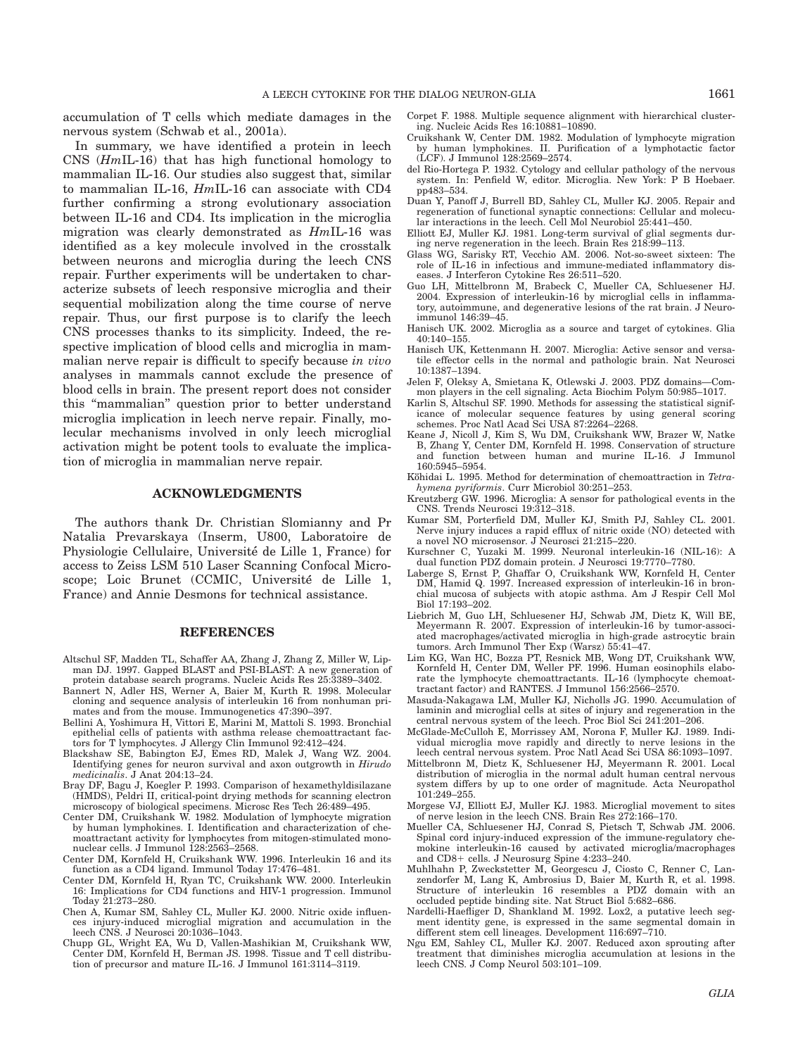accumulation of T cells which mediate damages in the nervous system (Schwab et al., 2001a).

In summary, we have identified a protein in leech CNS (HmIL-16) that has high functional homology to mammalian IL-16. Our studies also suggest that, similar to mammalian IL-16, HmIL-16 can associate with CD4 further confirming a strong evolutionary association between IL-16 and CD4. Its implication in the microglia migration was clearly demonstrated as HmIL-16 was identified as a key molecule involved in the crosstalk between neurons and microglia during the leech CNS repair. Further experiments will be undertaken to characterize subsets of leech responsive microglia and their sequential mobilization along the time course of nerve repair. Thus, our first purpose is to clarify the leech CNS processes thanks to its simplicity. Indeed, the respective implication of blood cells and microglia in mammalian nerve repair is difficult to specify because in vivo analyses in mammals cannot exclude the presence of blood cells in brain. The present report does not consider this ''mammalian'' question prior to better understand microglia implication in leech nerve repair. Finally, molecular mechanisms involved in only leech microglial activation might be potent tools to evaluate the implication of microglia in mammalian nerve repair.

## ACKNOWLEDGMENTS

The authors thank Dr. Christian Slomianny and Pr Natalia Prevarskaya (Inserm, U800, Laboratoire de Physiologie Cellulaire, Université de Lille 1, France) for access to Zeiss LSM 510 Laser Scanning Confocal Microscope; Loic Brunet (CCMIC, Université de Lille 1, France) and Annie Desmons for technical assistance.

#### REFERENCES

- Altschul SF, Madden TL, Schaffer AA, Zhang J, Zhang Z, Miller W, Lip-man DJ. 1997. Gapped BLAST and PSI-BLAST: A new generation of protein database search programs. Nucleic Acids Res 25:3389–3402.
- Bannert N, Adler HS, Werner A, Baier M, Kurth R. 1998. Molecular cloning and sequence analysis of interleukin 16 from nonhuman primates and from the mouse. Immunogenetics 47:390–397.
- Bellini A, Yoshimura H, Vittori E, Marini M, Mattoli S. 1993. Bronchial epithelial cells of patients with asthma release chemoattractant factors for T lymphocytes. J Allergy Clin Immunol 92:412–424.
- Blackshaw SE, Babington EJ, Emes RD, Malek J, Wang WZ. 2004. Identifying genes for neuron survival and axon outgrowth in Hirudo medicinalis. J Anat 204:13–24.
- Bray DF, Bagu J, Koegler P. 1993. Comparison of hexamethyldisilazane (HMDS), Peldri II, critical-point drying methods for scanning electron microscopy of biological specimens. Microsc Res Tech 26:489–495.
- Center DM, Cruikshank W. 1982. Modulation of lymphocyte migration by human lymphokines. I. Identification and characterization of chemoattractant activity for lymphocytes from mitogen-stimulated mononuclear cells. J Immunol 128:2563–2568.
- Center DM, Kornfeld H, Cruikshank WW. 1996. Interleukin 16 and its function as a CD4 ligand. Immunol Today 17:476–481.
- Center DM, Kornfeld H, Ryan TC, Cruikshank WW. 2000. Interleukin 16: Implications for CD4 functions and HIV-1 progression. Immunol Today 21:273–280.
- Chen A, Kumar SM, Sahley CL, Muller KJ. 2000. Nitric oxide influences injury-induced microglial migration and accumulation in the leech CNS. J Neurosci 20:1036–1043.
- Chupp GL, Wright EA, Wu D, Vallen-Mashikian M, Cruikshank WW, Center DM, Kornfeld H, Berman JS. 1998. Tissue and T cell distribution of precursor and mature IL-16. J Immunol 161:3114–3119.
- Corpet F. 1988. Multiple sequence alignment with hierarchical clustering. Nucleic Acids Res 16:10881–10890.
- Cruikshank W, Center DM. 1982. Modulation of lymphocyte migration by human lymphokines. II. Purification of a lymphotactic factor (LCF). J Immunol 128:2569–2574.
- del Rio-Hortega P. 1932. Cytology and cellular pathology of the nervous system. In: Penfield W, editor. Microglia. New York: P B Hoebaer. pp483–534.
- Duan Y, Panoff J, Burrell BD, Sahley CL, Muller KJ. 2005. Repair and regeneration of functional synaptic connections: Cellular and molecular interactions in the leech. Cell Mol Neurobiol 25:441–450.
- Elliott EJ, Muller KJ. 1981. Long-term survival of glial segments during nerve regeneration in the leech. Brain Res 218:99–113.
- Glass WG, Sarisky RT, Vecchio AM. 2006. Not-so-sweet sixteen: The role of IL-16 in infectious and immune-mediated inflammatory diseases. J Interferon Cytokine Res 26:511–520.
- Guo LH, Mittelbronn M, Brabeck C, Mueller CA, Schluesener HJ. 2004. Expression of interleukin-16 by microglial cells in inflammatory, autoimmune, and degenerative lesions of the rat brain. J Neuroimmunol 146:39–45.
- Hanisch UK. 2002. Microglia as a source and target of cytokines. Glia 40:140–155.
- Hanisch UK, Kettenmann H. 2007. Microglia: Active sensor and versatile effector cells in the normal and pathologic brain. Nat Neurosci 10:1387–1394.
- Jelen F, Oleksy A, Smietana K, Otlewski J. 2003. PDZ domains—Common players in the cell signaling. Acta Biochim Polym 50:985–1017.
- Karlin S, Altschul SF. 1990. Methods for assessing the statistical significance of molecular sequence features by using general scoring schemes. Proc Natl Acad Sci USA 87:2264–2268.
- Keane J, Nicoll J, Kim S, Wu DM, Cruikshank WW, Brazer W, Natke B, Zhang Y, Center DM, Kornfeld H. 1998. Conservation of structure and function between human and murine IL-16. J Immunol 160:5945–5954.
- Köhidai L. 1995. Method for determination of chemoattraction in Tetrahymena pyriformis. Curr Microbiol 30:251–253.
- Kreutzberg GW. 1996. Microglia: A sensor for pathological events in the CNS. Trends Neurosci 19:312–318.
- Kumar SM, Porterfield DM, Muller KJ, Smith PJ, Sahley CL. 2001. Nerve injury induces a rapid efflux of nitric oxide (NO) detected with a novel NO microsensor. J Neurosci 21:215–220.
- Kurschner C, Yuzaki M. 1999. Neuronal interleukin-16 (NIL-16): A dual function PDZ domain protein. J Neurosci 19:7770–7780.
- Laberge S, Ernst P, Ghaffar O, Cruikshank WW, Kornfeld H, Center DM, Hamid Q. 1997. Increased expression of interleukin-16 in bronchial mucosa of subjects with atopic asthma. Am J Respir Cell Mol Biol 17:193–202.
- Liebrich M, Guo LH, Schluesener HJ, Schwab JM, Dietz K, Will BE, Meyermann R. 2007. Expression of interleukin-16 by tumor-associated macrophages/activated microglia in high-grade astrocytic brain tumors. Arch Immunol Ther Exp (Warsz) 55:41–47.
- Lim KG, Wan HC, Bozza PT, Resnick MB, Wong DT, Cruikshank WW, Kornfeld H, Center DM, Weller PF. 1996. Human eosinophils elaborate the lymphocyte chemoattractants. IL-16 (lymphocyte chemoattractant factor) and RANTES. J Immunol 156:2566–2570.
- Masuda-Nakagawa LM, Muller KJ, Nicholls JG. 1990. Accumulation of laminin and microglial cells at sites of injury and regeneration in the central nervous system of the leech. Proc Biol Sci 241:201–206.
- McGlade-McCulloh E, Morrissey AM, Norona F, Muller KJ. 1989. Individual microglia move rapidly and directly to nerve lesions in the leech central nervous system. Proc Natl Acad Sci USA 86:1093–1097.
- Mittelbronn M, Dietz K, Schluesener HJ, Meyermann R. 2001. Local distribution of microglia in the normal adult human central nervous system differs by up to one order of magnitude. Acta Neuropathol 101:249–255.
- Morgese VJ, Elliott EJ, Muller KJ. 1983. Microglial movement to sites of nerve lesion in the leech CNS. Brain Res 272:166–170.
- Mueller CA, Schluesener HJ, Conrad S, Pietsch T, Schwab JM. 2006. Spinal cord injury-induced expression of the immune-regulatory chemokine interleukin-16 caused by activated microglia/macrophages and CD8+ cells. J Neurosurg Spine 4:233-240.
- Muhlhahn P, Zweckstetter M, Georgescu J, Ciosto C, Renner C, Lanzendorfer M, Lang K, Ambrosius D, Baier M, Kurth R, et al. 1998. Structure of interleukin 16 resembles a PDZ domain with an occluded peptide binding site. Nat Struct Biol 5:682–686.
- Nardelli-Haefliger D, Shankland M. 1992. Lox2, a putative leech segment identity gene, is expressed in the same segmental domain in different stem cell lineages. Development 116:697–710.
- Ngu EM, Sahley CL, Muller KJ. 2007. Reduced axon sprouting after treatment that diminishes microglia accumulation at lesions in the leech CNS. J Comp Neurol 503:101–109.